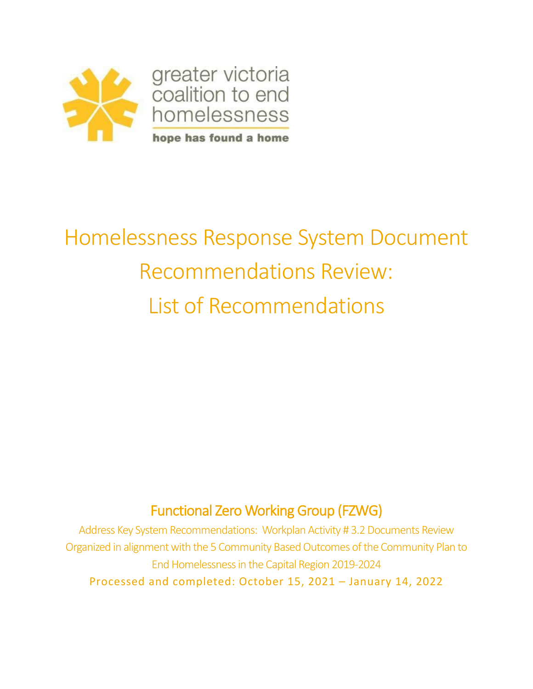

# Homelessness Response System Document Recommendations Review: List of Recommendations

# Functional Zero Working Group (FZWG)

Address Key System Recommendations: Workplan Activity # 3.2 Documents Review Organized in alignment with the 5 Community Based Outcomes of the Community Plan to End Homelessness in the Capital Region 2019-2024 Processed and completed: October 15, 2021 – January 14, 2022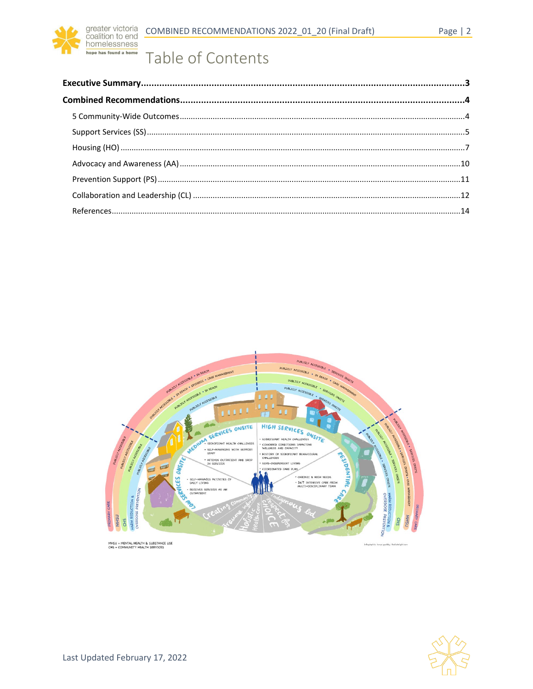

# Table of Contents



MHSU = MENTAL HEALTH & SUBSTANCE USE<br>CHS = COMMUNITY HEALTH SERVICES

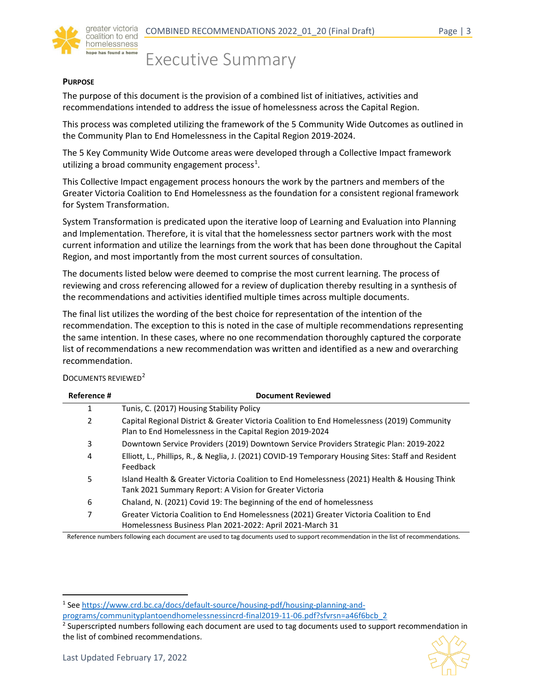coalition to end omelessness

<span id="page-2-0"></span>Executive Summary

#### **PURPOSE**

The purpose of this document is the provision of a combined list of initiatives, activities and recommendations intended to address the issue of homelessness across the Capital Region.

This process was completed utilizing the framework of the 5 Community Wide Outcomes as outlined in the Community Plan to End Homelessness in the Capital Region 2019-2024.

The 5 Key Community Wide Outcome areas were developed through a Collective Impact framework utilizing a broad community engagement process<sup>[1](#page-2-1)</sup>.

This Collective Impact engagement process honours the work by the partners and members of the Greater Victoria Coalition to End Homelessness as the foundation for a consistent regional framework for System Transformation.

System Transformation is predicated upon the iterative loop of Learning and Evaluation into Planning and Implementation. Therefore, it is vital that the homelessness sector partners work with the most current information and utilize the learnings from the work that has been done throughout the Capital Region, and most importantly from the most current sources of consultation.

The documents listed below were deemed to comprise the most current learning. The process of reviewing and cross referencing allowed for a review of duplication thereby resulting in a synthesis of the recommendations and activities identified multiple times across multiple documents.

The final list utilizes the wording of the best choice for representation of the intention of the recommendation. The exception to this is noted in the case of multiple recommendations representing the same intention. In these cases, where no one recommendation thoroughly captured the corporate list of recommendations a new recommendation was written and identified as a new and overarching recommendation.

DOCUMENTS REVIEWED<sup>[2](#page-2-2)</sup>

| Reference #    | <b>Document Reviewed</b>                                                                                                                                |
|----------------|---------------------------------------------------------------------------------------------------------------------------------------------------------|
| 1              | Tunis, C. (2017) Housing Stability Policy                                                                                                               |
| $\overline{2}$ | Capital Regional District & Greater Victoria Coalition to End Homelessness (2019) Community<br>Plan to End Homelessness in the Capital Region 2019-2024 |
| 3              | Downtown Service Providers (2019) Downtown Service Providers Strategic Plan: 2019-2022                                                                  |
| 4              | Elliott, L., Phillips, R., & Neglia, J. (2021) COVID-19 Temporary Housing Sites: Staff and Resident<br>Feedback                                         |
| 5              | Island Health & Greater Victoria Coalition to End Homelessness (2021) Health & Housing Think<br>Tank 2021 Summary Report: A Vision for Greater Victoria |
| 6              | Chaland, N. (2021) Covid 19: The beginning of the end of homelessness                                                                                   |
| 7              | Greater Victoria Coalition to End Homelessness (2021) Greater Victoria Coalition to End<br>Homelessness Business Plan 2021-2022: April 2021-March 31    |

Reference numbers following each document are used to tag documents used to support recommendation in the list of recommendations.

<span id="page-2-2"></span><sup>&</sup>lt;sup>2</sup> Superscripted numbers following each document are used to tag documents used to support recommendation in the list of combined recommendations.



<span id="page-2-1"></span><sup>1</sup> See [https://www.crd.bc.ca/docs/default-source/housing-pdf/housing-planning-and-](https://www.crd.bc.ca/docs/default-source/housing-pdf/housing-planning-and-programs/communityplantoendhomelessnessincrd-final2019-11-06.pdf?sfvrsn=a46f6bcb_2)

[programs/communityplantoendhomelessnessincrd-final2019-11-06.pdf?sfvrsn=a46f6bcb\\_2](https://www.crd.bc.ca/docs/default-source/housing-pdf/housing-planning-and-programs/communityplantoendhomelessnessincrd-final2019-11-06.pdf?sfvrsn=a46f6bcb_2)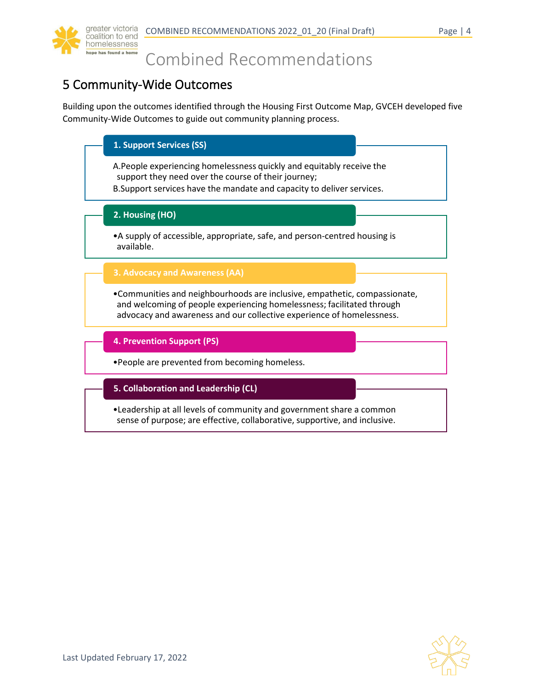

# <span id="page-3-0"></span>Combined Recommendations

# <span id="page-3-1"></span>5 Community-Wide Outcomes

Building upon the outcomes identified through the Housing First Outcome Map, GVCEH developed five Community-Wide Outcomes to guide out community planning process.

| 1. Support Services (SS)                                                                                                                                                                                                      |
|-------------------------------------------------------------------------------------------------------------------------------------------------------------------------------------------------------------------------------|
| A. People experiencing homelessness quickly and equitably receive the<br>support they need over the course of their journey;<br>B. Support services have the mandate and capacity to deliver services.                        |
| 2. Housing (HO)                                                                                                                                                                                                               |
| • A supply of accessible, appropriate, safe, and person-centred housing is<br>available.                                                                                                                                      |
| 3. Advocacy and Awareness (AA)                                                                                                                                                                                                |
| • Communities and neighbourhoods are inclusive, empathetic, compassionate,<br>and welcoming of people experiencing homelessness; facilitated through<br>advocacy and awareness and our collective experience of homelessness. |
| 4. Prevention Support (PS)                                                                                                                                                                                                    |
| .People are prevented from becoming homeless.                                                                                                                                                                                 |
| 5. Collaboration and Leadership (CL)                                                                                                                                                                                          |
|                                                                                                                                                                                                                               |

•Leadership at all levels of community and government share a common sense of purpose; are effective, collaborative, supportive, and inclusive.

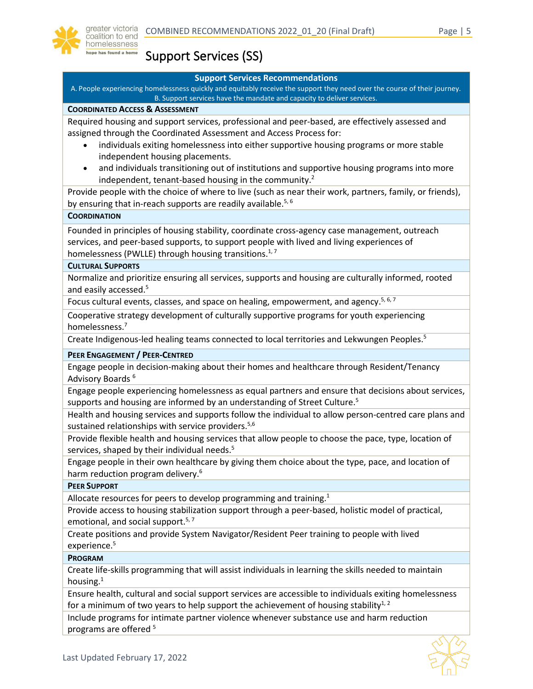

# <span id="page-4-0"></span>Support Services (SS)

#### **Support Services Recommendations**

A. People experiencing homelessness quickly and equitably receive the support they need over the course of their journey. B. Support services have the mandate and capacity to deliver services.

#### **COORDINATED ACCESS & ASSESSMENT**

Required housing and support services, professional and peer-based, are effectively assessed and assigned through the Coordinated Assessment and Access Process for:

- individuals exiting homelessness into either supportive housing programs or more stable independent housing placements.
- and individuals transitioning out of institutions and supportive housing programs into more independent, tenant-based housing in the community.<sup>2</sup>

Provide people with the choice of where to live (such as near their work, partners, family, or friends), by ensuring that in-reach supports are readily available.<sup>5, 6</sup>

#### **COORDINATION**

Founded in principles of housing stability, coordinate cross-agency case management, outreach services, and peer-based supports, to support people with lived and living experiences of homelessness (PWLLE) through housing transitions.<sup>1,7</sup>

#### **CULTURAL SUPPORTS**

Normalize and prioritize ensuring all services, supports and housing are culturally informed, rooted and easily accessed.<sup>5</sup>

Focus cultural events, classes, and space on healing, empowerment, and agency.<sup>5, 6, 7</sup>

Cooperative strategy development of culturally supportive programs for youth experiencing homelessness.<sup>7</sup>

Create Indigenous-led healing teams connected to local territories and Lekwungen Peoples.<sup>5</sup>

**PEER ENGAGEMENT / PEER-CENTRED**

Engage people in decision-making about their homes and healthcare through Resident/Tenancy Advisory Boards <sup>6</sup>

Engage people experiencing homelessness as equal partners and ensure that decisions about services, supports and housing are informed by an understanding of Street Culture.<sup>5</sup>

Health and housing services and supports follow the individual to allow person-centred care plans and sustained relationships with service providers.<sup>5,6</sup>

Provide flexible health and housing services that allow people to choose the pace, type, location of services, shaped by their individual needs.<sup>5</sup>

Engage people in their own healthcare by giving them choice about the type, pace, and location of harm reduction program delivery.<sup>6</sup>

#### **PEER SUPPORT**

Allocate resources for peers to develop programming and training.<sup>1</sup>

Provide access to housing stabilization support through a peer-based, holistic model of practical, emotional, and social support.<sup>5,7</sup>

Create positions and provide System Navigator/Resident Peer training to people with lived experience.<sup>5</sup>

#### **PROGRAM**

Create life-skills programming that will assist individuals in learning the skills needed to maintain housing.<sup>1</sup>

Ensure health, cultural and social support services are accessible to individuals exiting homelessness for a minimum of two years to help support the achievement of housing stability<sup>1, 2</sup>

Include programs for intimate partner violence whenever substance use and harm reduction programs are offered <sup>5</sup>

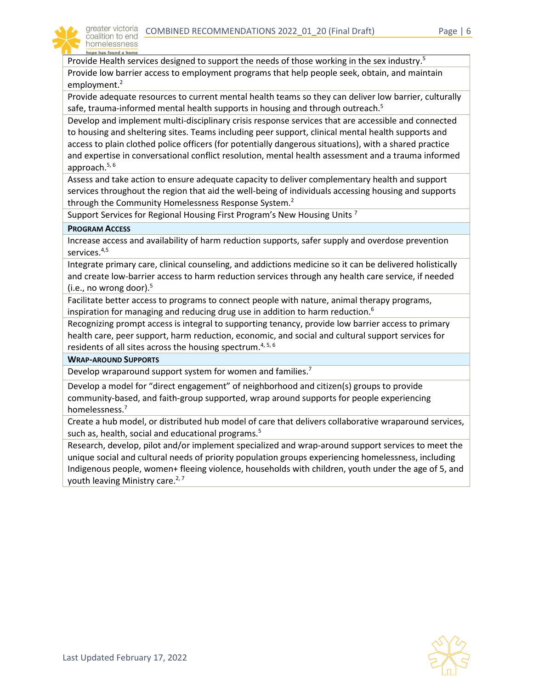

Provide Health services designed to support the needs of those working in the sex industry.<sup>5</sup>

Provide low barrier access to employment programs that help people seek, obtain, and maintain employment. 2

Provide adequate resources to current mental health teams so they can deliver low barrier, culturally safe, trauma-informed mental health supports in housing and through outreach. $5$ 

Develop and implement multi-disciplinary crisis response services that are accessible and connected to housing and sheltering sites. Teams including peer support, clinical mental health supports and access to plain clothed police officers (for potentially dangerous situations), with a shared practice and expertise in conversational conflict resolution, mental health assessment and a trauma informed approach.5, 6

Assess and take action to ensure adequate capacity to deliver complementary health and support services throughout the region that aid the well-being of individuals accessing housing and supports through the Community Homelessness Response System.<sup>2</sup>

Support Services for Regional Housing First Program's New Housing Units<sup>7</sup>

#### **PROGRAM ACCESS**

Increase access and availability of harm reduction supports, safer supply and overdose prevention services. 4,5

Integrate primary care, clinical counseling, and addictions medicine so it can be delivered holistically and create low-barrier access to harm reduction services through any health care service, if needed (i.e., no wrong door). 5

Facilitate better access to programs to connect people with nature, animal therapy programs, inspiration for managing and reducing drug use in addition to harm reduction.<sup>6</sup>

Recognizing prompt access is integral to supporting tenancy, provide low barrier access to primary health care, peer support, harm reduction, economic, and social and cultural support services for residents of all sites across the housing spectrum.<sup>4, 5, 6</sup>

#### **WRAP-AROUND SUPPORTS**

Develop wraparound support system for women and families.<sup>7</sup>

Develop a model for "direct engagement" of neighborhood and citizen(s) groups to provide community-based, and faith-group supported, wrap around supports for people experiencing homelessness.<sup>7</sup>

Create a hub model, or distributed hub model of care that delivers collaborative wraparound services, such as, health, social and educational programs.<sup>5</sup>

Research, develop, pilot and/or implement specialized and wrap-around support services to meet the unique social and cultural needs of priority population groups experiencing homelessness, including Indigenous people, women+ fleeing violence, households with children, youth under the age of 5, and youth leaving Ministry care.<sup>2, 7</sup>

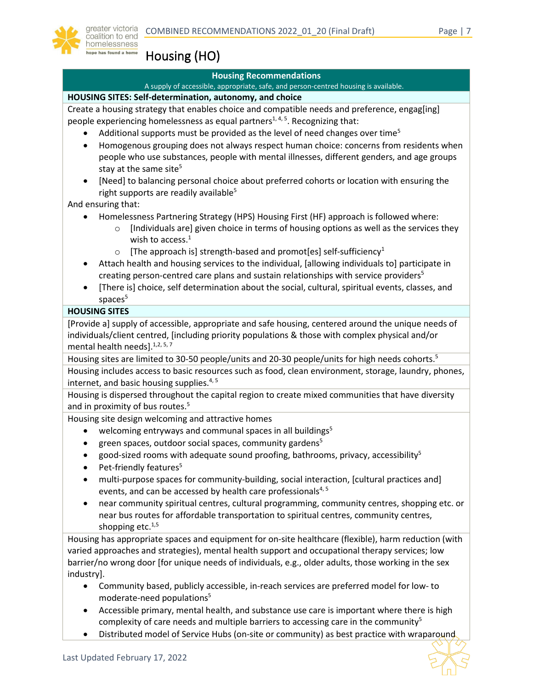

<span id="page-6-0"></span>Housing (HO)

#### **Housing Recommendations**

A supply of accessible, appropriate, safe, and person-centred housing is available.

#### **HOUSING SITES: Self-determination, autonomy, and choice**

Create a housing strategy that enables choice and compatible needs and preference, engag[ing] people experiencing homelessness as equal partners<sup>1, 4, 5</sup>. Recognizing that:

- Additional supports must be provided as the level of need changes over time<sup>5</sup>
- Homogenous grouping does not always respect human choice: concerns from residents when people who use substances, people with mental illnesses, different genders, and age groups stay at the same site<sup>5</sup>
- [Need] to balancing personal choice about preferred cohorts or location with ensuring the right supports are readily available<sup>5</sup>

And ensuring that:

- Homelessness Partnering Strategy (HPS) Housing First (HF) approach is followed where:
	- $\circ$  [Individuals are] given choice in terms of housing options as well as the services they wish to access.<sup>1</sup>
	- $\circ$  [The approach is] strength-based and promot[es] self-sufficiency<sup>1</sup>
- Attach health and housing services to the individual, [allowing individuals to] participate in creating person-centred care plans and sustain relationships with service providers<sup>5</sup>
- [There is] choice, self determination about the social, cultural, spiritual events, classes, and spaces<sup>5</sup>

#### **HOUSING SITES**

[Provide a] supply of accessible, appropriate and safe housing, centered around the unique needs of individuals/client centred, [including priority populations & those with complex physical and/or mental health needs].<sup>1,2, 5, 7</sup>

Housing sites are limited to 30-50 people/units and 20-30 people/units for high needs cohorts.<sup>5</sup>

Housing includes access to basic resources such as food, clean environment, storage, laundry, phones, internet, and basic housing supplies.<sup>4, 5</sup>

Housing is dispersed throughout the capital region to create mixed communities that have diversity and in proximity of bus routes.<sup>5</sup>

Housing site design welcoming and attractive homes

- welcoming entryways and communal spaces in all buildings<sup>5</sup>
- green spaces, outdoor social spaces, community gardens<sup>5</sup>
- good-sized rooms with adequate sound proofing, bathrooms, privacy, accessibility<sup>5</sup>
- Pet-friendly features<sup>5</sup>
- multi-purpose spaces for community-building, social interaction, [cultural practices and] events, and can be accessed by health care professionals<sup>4, 5</sup>
- near community spiritual centres, cultural programming, community centres, shopping etc. or near bus routes for affordable transportation to spiritual centres, community centres, shopping etc. $1,5$

Housing has appropriate spaces and equipment for on-site healthcare (flexible), harm reduction (with varied approaches and strategies), mental health support and occupational therapy services; low barrier/no wrong door [for unique needs of individuals, e.g., older adults, those working in the sex industry].

- Community based, publicly accessible, in-reach services are preferred model for low- to moderate-need populations5
- Accessible primary, mental health, and substance use care is important where there is high complexity of care needs and multiple barriers to accessing care in the community<sup>5</sup>
- Distributed model of Service Hubs (on-site or community) as best practice with wraparound

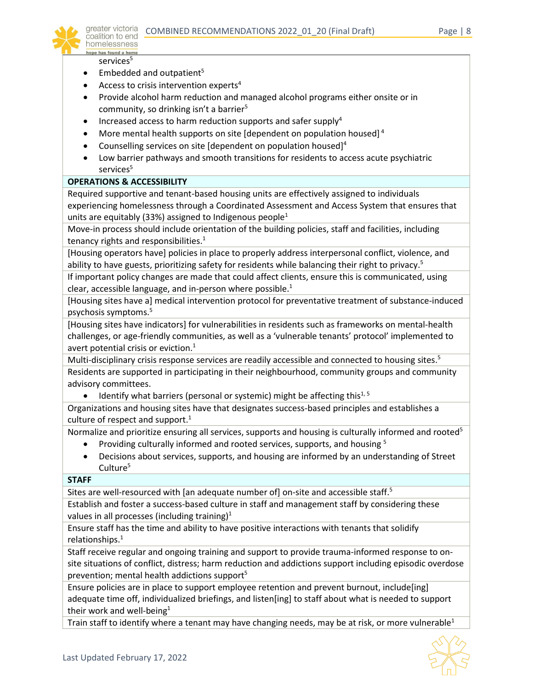

services<sup>5</sup>

- Embedded and outpatient<sup>5</sup>
- Access to crisis intervention experts $4$
- Provide alcohol harm reduction and managed alcohol programs either onsite or in community, so drinking isn't a barrier<sup>5</sup>
- Increased access to harm reduction supports and safer supply $4$
- More mental health supports on site [dependent on population housed] <sup>4</sup>
- Counselling services on site [dependent on population housed]<sup>4</sup>
- Low barrier pathways and smooth transitions for residents to access acute psychiatric services<sup>5</sup>

#### **OPERATIONS & ACCESSIBILITY**

Required supportive and tenant-based housing units are effectively assigned to individuals experiencing homelessness through a Coordinated Assessment and Access System that ensures that units are equitably (33%) assigned to Indigenous people<sup>1</sup>

Move-in process should include orientation of the building policies, staff and facilities, including tenancy rights and responsibilities.<sup>1</sup>

[Housing operators have] policies in place to properly address interpersonal conflict, violence, and ability to have guests, prioritizing safety for residents while balancing their right to privacy.<sup>5</sup>

If important policy changes are made that could affect clients, ensure this is communicated, using clear, accessible language, and in-person where possible.<sup>1</sup>

[Housing sites have a] medical intervention protocol for preventative treatment of substance-induced psychosis symptoms. 5

[Housing sites have indicators] for vulnerabilities in residents such as frameworks on mental-health challenges, or age-friendly communities, as well as a 'vulnerable tenants' protocol' implemented to avert potential crisis or eviction. $<sup>1</sup>$ </sup>

Multi-disciplinary crisis response services are readily accessible and connected to housing sites.<sup>5</sup> Residents are supported in participating in their neighbourhood, community groups and community advisory committees.

• Identify what barriers (personal or systemic) might be affecting this<sup>1,5</sup>

Organizations and housing sites have that designates success-based principles and establishes a culture of respect and support. $1$ 

Normalize and prioritize ensuring all services, supports and housing is culturally informed and rooted<sup>5</sup>

- Providing culturally informed and rooted services, supports, and housing <sup>5</sup>
- Decisions about services, supports, and housing are informed by an understanding of Street Culture<sup>5</sup>

#### **STAFF**

Sites are well-resourced with [an adequate number of] on-site and accessible staff.<sup>5</sup>

Establish and foster a success-based culture in staff and management staff by considering these values in all processes (including training) $1$ 

Ensure staff has the time and ability to have positive interactions with tenants that solidify relationships.<sup>1</sup>

Staff receive regular and ongoing training and support to provide trauma-informed response to onsite situations of conflict, distress; harm reduction and addictions support including episodic overdose prevention; mental health addictions support<sup>5</sup>

Ensure policies are in place to support employee retention and prevent burnout, include[ing] adequate time off, individualized briefings, and listen[ing] to staff about what is needed to support their work and well-being<sup>1</sup>

Train staff to identify where a tenant may have changing needs, may be at risk, or more vulnerable<sup>1</sup>

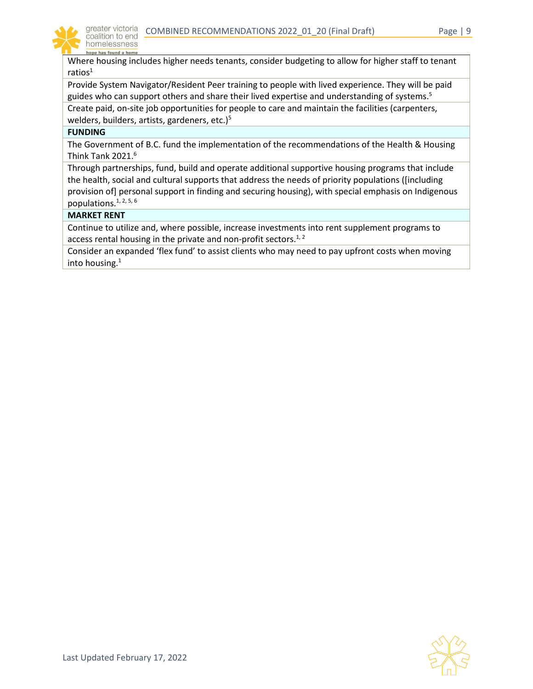

Where housing includes higher needs tenants, consider budgeting to allow for higher staff to tenant ratios $1$ 

Provide System Navigator/Resident Peer training to people with lived experience. They will be paid guides who can support others and share their lived expertise and understanding of systems.<sup>5</sup>

Create paid, on-site job opportunities for people to care and maintain the facilities (carpenters, welders, builders, artists, gardeners, etc.) $5$ 

#### **FUNDING**

The Government of B.C. fund the implementation of the recommendations of the Health & Housing Think Tank  $2021<sup>6</sup>$ 

Through partnerships, fund, build and operate additional supportive housing programs that include the health, social and cultural supports that address the needs of priority populations ([including provision of] personal support in finding and securing housing), with special emphasis on Indigenous populations.  $1, 2, 5, 6$ 

#### **MARKET RENT**

Continue to utilize and, where possible, increase investments into rent supplement programs to access rental housing in the private and non-profit sectors.<sup>1, 2</sup>

Consider an expanded 'flex fund' to assist clients who may need to pay upfront costs when moving into housing. $1$ 

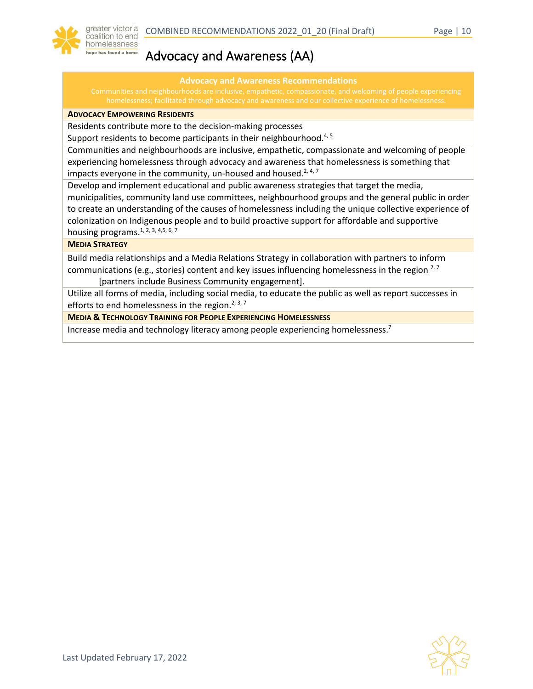

### <span id="page-9-0"></span>Advocacy and Awareness (AA)

#### **Advocacy and Awareness Recommendations**

#### **ADVOCACY EMPOWERING RESIDENTS**

Residents contribute more to the decision-making processes

Support residents to become participants in their neighbourhood.<sup>4, 5</sup>

Communities and neighbourhoods are inclusive, empathetic, compassionate and welcoming of people experiencing homelessness through advocacy and awareness that homelessness is something that impacts everyone in the community, un-housed and housed.<sup>2, 4, 7</sup>

Develop and implement educational and public awareness strategies that target the media, municipalities, community land use committees, neighbourhood groups and the general public in order to create an understanding of the causes of homelessness including the unique collective experience of colonization on Indigenous people and to build proactive support for affordable and supportive housing programs.<sup>1, 2, 3, 4,5, 6, 7</sup>

#### **MEDIA STRATEGY**

Build media relationships and a Media Relations Strategy in collaboration with partners to inform communications (e.g., stories) content and key issues influencing homelessness in the region  $2^7$ [partners include Business Community engagement].

Utilize all forms of media, including social media, to educate the public as well as report successes in efforts to end homelessness in the region.<sup>2, 3, 7</sup>

**MEDIA & TECHNOLOGY TRAINING FOR PEOPLE EXPERIENCING HOMELESSNESS**

Increase media and technology literacy among people experiencing homelessness.<sup>7</sup>

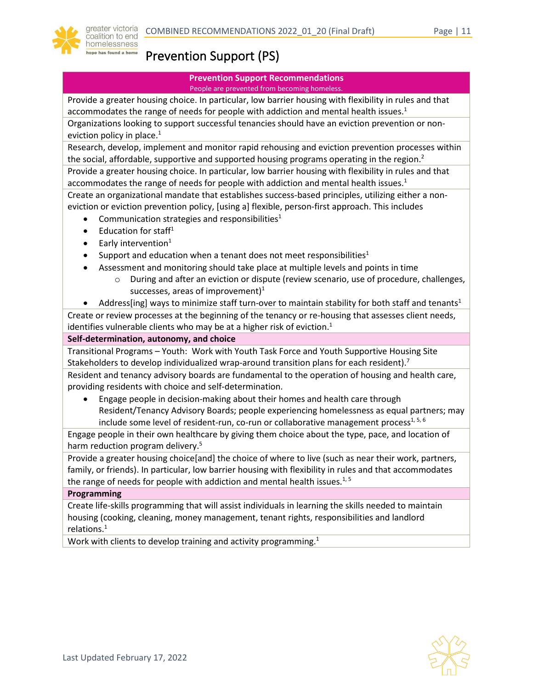

# <span id="page-10-0"></span>Prevention Support (PS)

#### **Prevention Support Recommendations** People are prevented from becoming homeless.

Provide a greater housing choice. In particular, low barrier housing with flexibility in rules and that accommodates the range of needs for people with addiction and mental health issues. $1$ 

Organizations looking to support successful tenancies should have an eviction prevention or noneviction policy in place. $1$ 

Research, develop, implement and monitor rapid rehousing and eviction prevention processes within the social, affordable, supportive and supported housing programs operating in the region. $2$ 

Provide a greater housing choice. In particular, low barrier housing with flexibility in rules and that accommodates the range of needs for people with addiction and mental health issues. $1$ 

Create an organizational mandate that establishes success-based principles, utilizing either a noneviction or eviction prevention policy, [using a] flexible, person-first approach. This includes

- Communication strategies and responsibilities<sup>1</sup>
- Education for staff $1$
- **•** Early intervention<sup>1</sup>
- Support and education when a tenant does not meet responsibilities<sup>1</sup>
- Assessment and monitoring should take place at multiple levels and points in time
	- o During and after an eviction or dispute (review scenario, use of procedure, challenges, successes, areas of improvement)<sup>1</sup>
- Address[ing] ways to minimize staff turn-over to maintain stability for both staff and tenants<sup>1</sup>

Create or review processes at the beginning of the tenancy or re-housing that assesses client needs, identifies vulnerable clients who may be at a higher risk of eviction. $1$ 

#### **Self-determination, autonomy, and choice**

Transitional Programs – Youth: Work with Youth Task Force and Youth Supportive Housing Site Stakeholders to develop individualized wrap-around transition plans for each resident).<sup>7</sup>

Resident and tenancy advisory boards are fundamental to the operation of housing and health care, providing residents with choice and self-determination.

• Engage people in decision-making about their homes and health care through Resident/Tenancy Advisory Boards; people experiencing homelessness as equal partners; may include some level of resident-run, co-run or collaborative management process $1, 5, 6$ 

Engage people in their own healthcare by giving them choice about the type, pace, and location of harm reduction program delivery.<sup>5</sup>

Provide a greater housing choice[and] the choice of where to live (such as near their work, partners, family, or friends). In particular, low barrier housing with flexibility in rules and that accommodates the range of needs for people with addiction and mental health issues.<sup>1, 5</sup>

#### **Programming**

Create life-skills programming that will assist individuals in learning the skills needed to maintain housing (cooking, cleaning, money management, tenant rights, responsibilities and landlord relations.<sup>1</sup>

Work with clients to develop training and activity programming.<sup>1</sup>

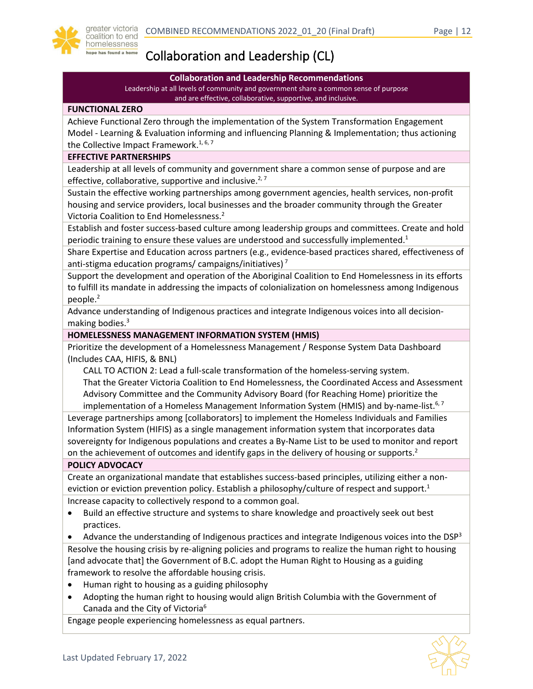

# <span id="page-11-0"></span>Collaboration and Leadership (CL)

#### **Collaboration and Leadership Recommendations**

Leadership at all levels of community and government share a common sense of purpose and are effective, collaborative, supportive, and inclusive.

#### **FUNCTIONAL ZERO**

Achieve Functional Zero through the implementation of the System Transformation Engagement Model - Learning & Evaluation informing and influencing Planning & Implementation; thus actioning the Collective Impact Framework.<sup>1, 6, 7</sup>

#### **EFFECTIVE PARTNERSHIPS**

Leadership at all levels of community and government share a common sense of purpose and are effective, collaborative, supportive and inclusive.<sup>2,7</sup>

Sustain the effective working partnerships among government agencies, health services, non-profit housing and service providers, local businesses and the broader community through the Greater Victoria Coalition to End Homelessness.2

Establish and foster success-based culture among leadership groups and committees. Create and hold periodic training to ensure these values are understood and successfully implemented. $1$ 

Share Expertise and Education across partners (e.g., evidence-based practices shared, effectiveness of anti-stigma education programs/ campaigns/initiatives)<sup>7</sup>

Support the development and operation of the Aboriginal Coalition to End Homelessness in its efforts to fulfill its mandate in addressing the impacts of colonialization on homelessness among Indigenous people.<sup>2</sup>

Advance understanding of Indigenous practices and integrate Indigenous voices into all decisionmaking bodies. $3$ 

#### **HOMELESSNESS MANAGEMENT INFORMATION SYSTEM (HMIS)**

Prioritize the development of a Homelessness Management / Response System Data Dashboard (Includes CAA, HIFIS, & BNL)

CALL TO ACTION 2: Lead a full-scale transformation of the homeless-serving system. That the Greater Victoria Coalition to End Homelessness, the Coordinated Access and Assessment Advisory Committee and the Community Advisory Board (for Reaching Home) prioritize the implementation of a Homeless Management Information System (HMIS) and by-name-list.<sup>6,7</sup>

Leverage partnerships among [collaborators] to implement the Homeless Individuals and Families Information System (HIFIS) as a single management information system that incorporates data sovereignty for Indigenous populations and creates a By-Name List to be used to monitor and report on the achievement of outcomes and identify gaps in the delivery of housing or supports.<sup>2</sup>

#### **POLICY ADVOCACY**

Create an organizational mandate that establishes success-based principles, utilizing either a noneviction or eviction prevention policy. Establish a philosophy/culture of respect and support.<sup>1</sup> Increase capacity to collectively respond to a common goal.

• Build an effective structure and systems to share knowledge and proactively seek out best practices.

• Advance the understanding of Indigenous practices and integrate Indigenous voices into the DSP<sup>3</sup> Resolve the housing crisis by re-aligning policies and programs to realize the human right to housing [and advocate that] the Government of B.C. adopt the Human Right to Housing as a guiding framework to resolve the affordable housing crisis.

- Human right to housing as a guiding philosophy
- Adopting the human right to housing would align British Columbia with the Government of Canada and the City of Victoria<sup>6</sup>

Engage people experiencing homelessness as equal partners.

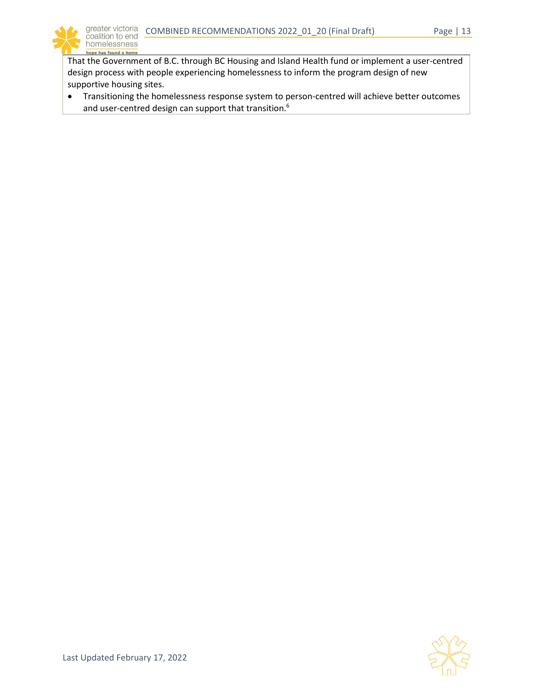

That the Government of B.C. through BC Housing and Island Health fund or implement a user-centred design process with people experiencing homelessness to inform the program design of new supportive housing sites.

• Transitioning the homelessness response system to person-centred will achieve better outcomes and user-centred design can support that transition.<sup>6</sup>